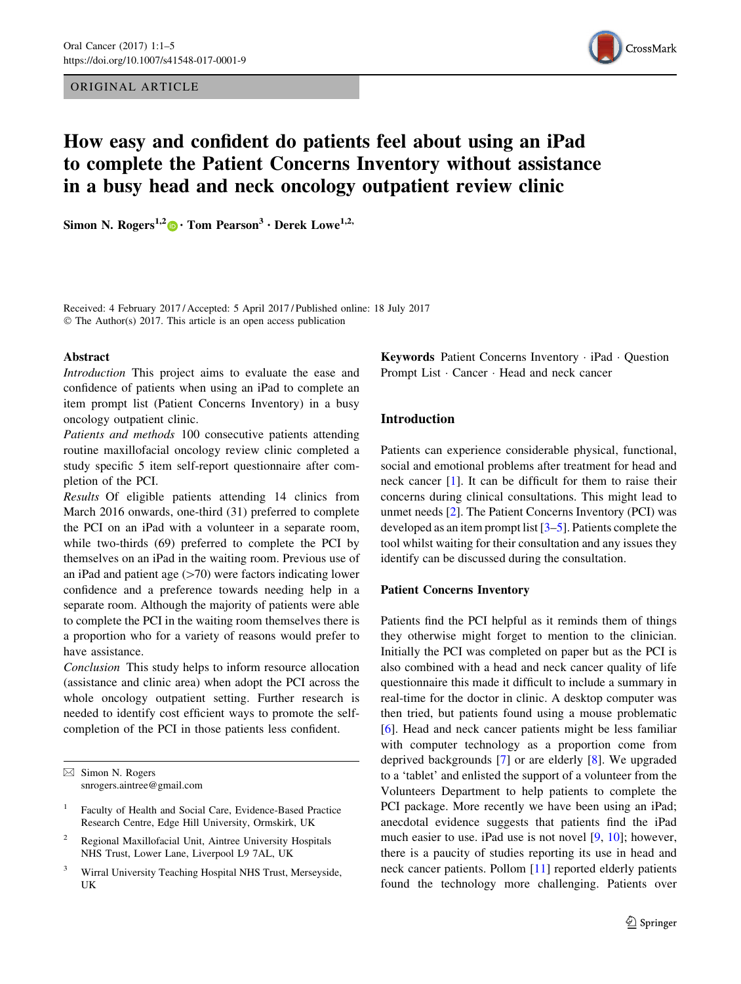## ORIGINAL ARTICLE



# How easy and confident do patients feel about using an iPad to complete the Patient Concerns Inventory without assistance in a busy head and neck oncology outpatient review clinic

Simon N. Rogers<sup>1,2</sup>  $\bullet$  Tom Pearson<sup>3</sup> [•](http://orcid.org/0000-0002-5989-6142) Derek Lowe<sup>1,2,</sup>

Received: 4 February 2017 / Accepted: 5 April 2017 / Published online: 18 July 2017 © The Author(s) 2017. This article is an open access publication

#### Abstract

Introduction This project aims to evaluate the ease and confidence of patients when using an iPad to complete an item prompt list (Patient Concerns Inventory) in a busy oncology outpatient clinic.

Patients and methods 100 consecutive patients attending routine maxillofacial oncology review clinic completed a study specific 5 item self-report questionnaire after completion of the PCI.

Results Of eligible patients attending 14 clinics from March 2016 onwards, one-third (31) preferred to complete the PCI on an iPad with a volunteer in a separate room, while two-thirds (69) preferred to complete the PCI by themselves on an iPad in the waiting room. Previous use of an iPad and patient age  $(>=70)$  were factors indicating lower confidence and a preference towards needing help in a separate room. Although the majority of patients were able to complete the PCI in the waiting room themselves there is a proportion who for a variety of reasons would prefer to have assistance.

Conclusion This study helps to inform resource allocation (assistance and clinic area) when adopt the PCI across the whole oncology outpatient setting. Further research is needed to identify cost efficient ways to promote the selfcompletion of the PCI in those patients less confident.

- <sup>2</sup> Regional Maxillofacial Unit, Aintree University Hospitals NHS Trust, Lower Lane, Liverpool L9 7AL, UK
- <sup>3</sup> Wirral University Teaching Hospital NHS Trust, Merseyside, UK

Keywords Patient Concerns Inventory - iPad - Question Prompt List · Cancer · Head and neck cancer

## Introduction

Patients can experience considerable physical, functional, social and emotional problems after treatment for head and neck cancer [\[1\]](#page-4-0). It can be difficult for them to raise their concerns during clinical consultations. This might lead to unmet needs [[2\]](#page-4-0). The Patient Concerns Inventory (PCI) was developed as an item prompt list [[3–5\]](#page-4-0). Patients complete the tool whilst waiting for their consultation and any issues they identify can be discussed during the consultation.

## Patient Concerns Inventory

Patients find the PCI helpful as it reminds them of things they otherwise might forget to mention to the clinician. Initially the PCI was completed on paper but as the PCI is also combined with a head and neck cancer quality of life questionnaire this made it difficult to include a summary in real-time for the doctor in clinic. A desktop computer was then tried, but patients found using a mouse problematic [\[6](#page-4-0)]. Head and neck cancer patients might be less familiar with computer technology as a proportion come from deprived backgrounds [\[7](#page-4-0)] or are elderly [[8\]](#page-4-0). We upgraded to a 'tablet' and enlisted the support of a volunteer from the Volunteers Department to help patients to complete the PCI package. More recently we have been using an iPad; anecdotal evidence suggests that patients find the iPad much easier to use. iPad use is not novel [[9,](#page-4-0) [10](#page-4-0)]; however, there is a paucity of studies reporting its use in head and neck cancer patients. Pollom [\[11](#page-4-0)] reported elderly patients found the technology more challenging. Patients over

 $\boxtimes$  Simon N. Rogers snrogers.aintree@gmail.com

<sup>&</sup>lt;sup>1</sup> Faculty of Health and Social Care, Evidence-Based Practice Research Centre, Edge Hill University, Ormskirk, UK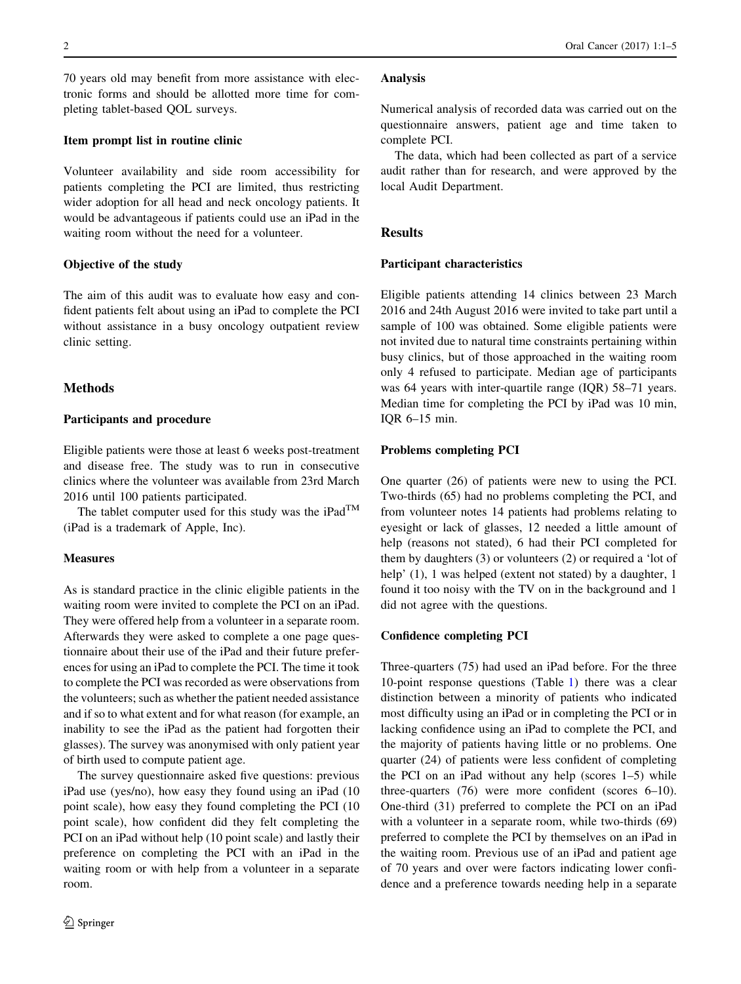70 years old may benefit from more assistance with electronic forms and should be allotted more time for completing tablet-based QOL surveys.

## Item prompt list in routine clinic

Volunteer availability and side room accessibility for patients completing the PCI are limited, thus restricting wider adoption for all head and neck oncology patients. It would be advantageous if patients could use an iPad in the waiting room without the need for a volunteer.

## Objective of the study

The aim of this audit was to evaluate how easy and confident patients felt about using an iPad to complete the PCI without assistance in a busy oncology outpatient review clinic setting.

## Methods

## Participants and procedure

Eligible patients were those at least 6 weeks post-treatment and disease free. The study was to run in consecutive clinics where the volunteer was available from 23rd March 2016 until 100 patients participated.

The tablet computer used for this study was the iPad<sup>TM</sup> (iPad is a trademark of Apple, Inc).

#### **Measures**

As is standard practice in the clinic eligible patients in the waiting room were invited to complete the PCI on an iPad. They were offered help from a volunteer in a separate room. Afterwards they were asked to complete a one page questionnaire about their use of the iPad and their future preferences for using an iPad to complete the PCI. The time it took to complete the PCI was recorded as were observations from the volunteers; such as whether the patient needed assistance and if so to what extent and for what reason (for example, an inability to see the iPad as the patient had forgotten their glasses). The survey was anonymised with only patient year of birth used to compute patient age.

The survey questionnaire asked five questions: previous iPad use (yes/no), how easy they found using an iPad (10 point scale), how easy they found completing the PCI (10 point scale), how confident did they felt completing the PCI on an iPad without help (10 point scale) and lastly their preference on completing the PCI with an iPad in the waiting room or with help from a volunteer in a separate room.

#### Analysis

Numerical analysis of recorded data was carried out on the questionnaire answers, patient age and time taken to complete PCI.

The data, which had been collected as part of a service audit rather than for research, and were approved by the local Audit Department.

#### **Results**

## Participant characteristics

Eligible patients attending 14 clinics between 23 March 2016 and 24th August 2016 were invited to take part until a sample of 100 was obtained. Some eligible patients were not invited due to natural time constraints pertaining within busy clinics, but of those approached in the waiting room only 4 refused to participate. Median age of participants was 64 years with inter-quartile range (IQR) 58–71 years. Median time for completing the PCI by iPad was 10 min, IQR 6–15 min.

## Problems completing PCI

One quarter (26) of patients were new to using the PCI. Two-thirds (65) had no problems completing the PCI, and from volunteer notes 14 patients had problems relating to eyesight or lack of glasses, 12 needed a little amount of help (reasons not stated), 6 had their PCI completed for them by daughters (3) or volunteers (2) or required a 'lot of help' (1), 1 was helped (extent not stated) by a daughter, 1 found it too noisy with the TV on in the background and 1 did not agree with the questions.

## Confidence completing PCI

Three-quarters (75) had used an iPad before. For the three 10-point response questions (Table [1\)](#page-2-0) there was a clear distinction between a minority of patients who indicated most difficulty using an iPad or in completing the PCI or in lacking confidence using an iPad to complete the PCI, and the majority of patients having little or no problems. One quarter (24) of patients were less confident of completing the PCI on an iPad without any help (scores 1–5) while three-quarters (76) were more confident (scores 6–10). One-third (31) preferred to complete the PCI on an iPad with a volunteer in a separate room, while two-thirds (69) preferred to complete the PCI by themselves on an iPad in the waiting room. Previous use of an iPad and patient age of 70 years and over were factors indicating lower confidence and a preference towards needing help in a separate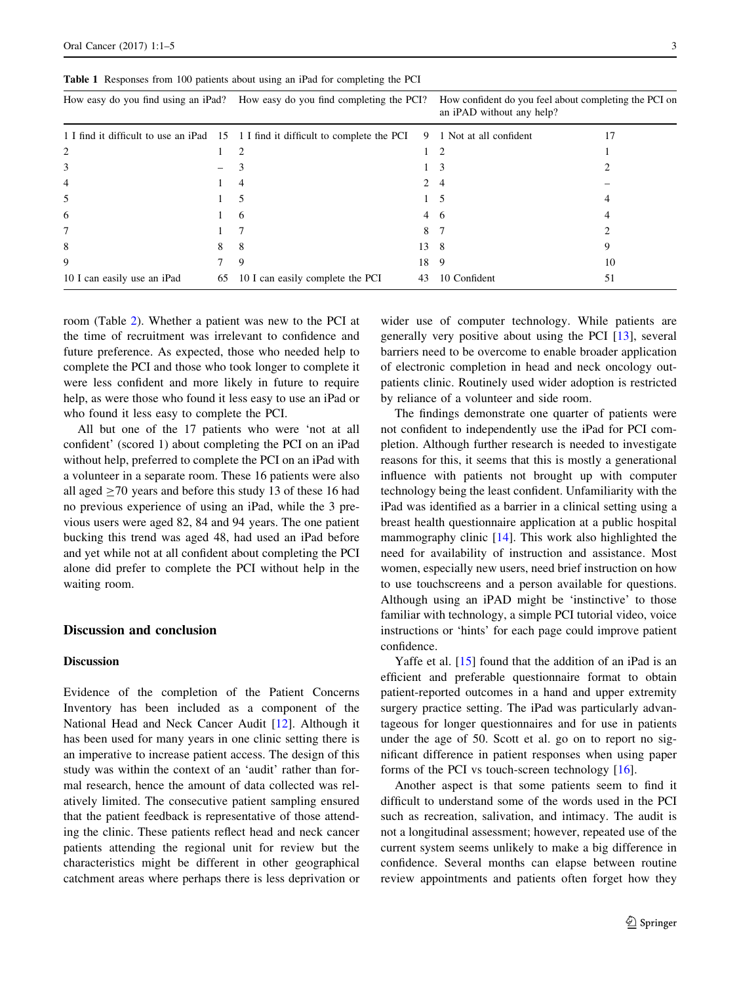|                             |    | How easy do you find using an iPad? How easy do you find completing the PCI?      |      | How confident do you feel about completing the PCI on<br>an iPAD without any help? |    |
|-----------------------------|----|-----------------------------------------------------------------------------------|------|------------------------------------------------------------------------------------|----|
|                             |    | 1 I find it difficult to use an iPad 15 1 I find it difficult to complete the PCI |      | 9 1 Not at all confident                                                           | 17 |
| 2                           |    |                                                                                   |      |                                                                                    |    |
| 3                           |    |                                                                                   |      | 3                                                                                  |    |
| $\overline{4}$              |    | 4                                                                                 | 2    | 4                                                                                  |    |
| 5                           |    | 5                                                                                 |      | 5                                                                                  | 4  |
| 6                           |    | 6                                                                                 |      | 4 6                                                                                |    |
| 7                           |    |                                                                                   | 8    |                                                                                    |    |
| 8                           | 8  | 8                                                                                 | 13 8 |                                                                                    |    |
| 9                           |    | 9                                                                                 | 18   | 9                                                                                  | 10 |
| 10 I can easily use an iPad | 65 | 10 I can easily complete the PCI                                                  | 43   | 10 Confident                                                                       | 51 |
|                             |    |                                                                                   |      |                                                                                    |    |

<span id="page-2-0"></span>Table 1 Responses from 100 patients about using an iPad for completing the PCI

room (Table [2](#page-3-0)). Whether a patient was new to the PCI at the time of recruitment was irrelevant to confidence and future preference. As expected, those who needed help to complete the PCI and those who took longer to complete it were less confident and more likely in future to require help, as were those who found it less easy to use an iPad or who found it less easy to complete the PCI.

All but one of the 17 patients who were 'not at all confident' (scored 1) about completing the PCI on an iPad without help, preferred to complete the PCI on an iPad with a volunteer in a separate room. These 16 patients were also all aged  $>70$  years and before this study 13 of these 16 had no previous experience of using an iPad, while the 3 previous users were aged 82, 84 and 94 years. The one patient bucking this trend was aged 48, had used an iPad before and yet while not at all confident about completing the PCI alone did prefer to complete the PCI without help in the waiting room.

## Discussion and conclusion

#### **Discussion**

Evidence of the completion of the Patient Concerns Inventory has been included as a component of the National Head and Neck Cancer Audit [[12\]](#page-4-0). Although it has been used for many years in one clinic setting there is an imperative to increase patient access. The design of this study was within the context of an 'audit' rather than formal research, hence the amount of data collected was relatively limited. The consecutive patient sampling ensured that the patient feedback is representative of those attending the clinic. These patients reflect head and neck cancer patients attending the regional unit for review but the characteristics might be different in other geographical catchment areas where perhaps there is less deprivation or

wider use of computer technology. While patients are generally very positive about using the PCI [\[13](#page-4-0)], several barriers need to be overcome to enable broader application of electronic completion in head and neck oncology outpatients clinic. Routinely used wider adoption is restricted by reliance of a volunteer and side room.

The findings demonstrate one quarter of patients were not confident to independently use the iPad for PCI completion. Although further research is needed to investigate reasons for this, it seems that this is mostly a generational influence with patients not brought up with computer technology being the least confident. Unfamiliarity with the iPad was identified as a barrier in a clinical setting using a breast health questionnaire application at a public hospital mammography clinic [\[14](#page-4-0)]. This work also highlighted the need for availability of instruction and assistance. Most women, especially new users, need brief instruction on how to use touchscreens and a person available for questions. Although using an iPAD might be 'instinctive' to those familiar with technology, a simple PCI tutorial video, voice instructions or 'hints' for each page could improve patient confidence.

Yaffe et al. [\[15](#page-4-0)] found that the addition of an iPad is an efficient and preferable questionnaire format to obtain patient-reported outcomes in a hand and upper extremity surgery practice setting. The iPad was particularly advantageous for longer questionnaires and for use in patients under the age of 50. Scott et al. go on to report no significant difference in patient responses when using paper forms of the PCI vs touch-screen technology [[16\]](#page-4-0).

Another aspect is that some patients seem to find it difficult to understand some of the words used in the PCI such as recreation, salivation, and intimacy. The audit is not a longitudinal assessment; however, repeated use of the current system seems unlikely to make a big difference in confidence. Several months can elapse between routine review appointments and patients often forget how they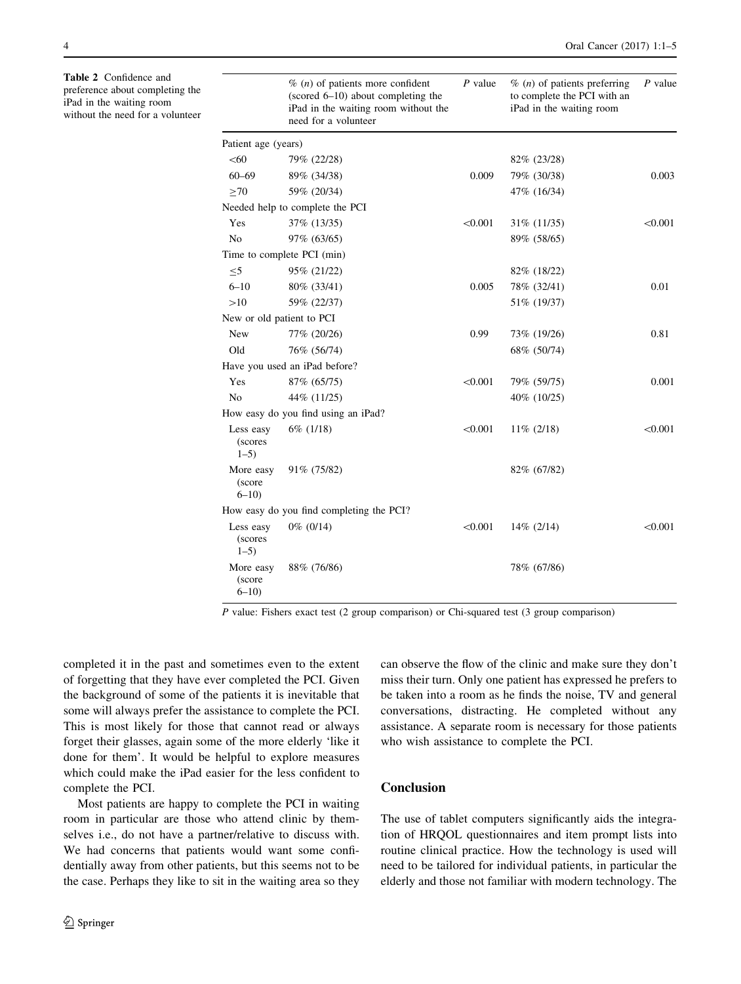<span id="page-3-0"></span>Table 2 Confidence and preference about completing the iPad in the waiting room without the need for a volunteer

|                                   | $\%$ ( <i>n</i> ) of patients more confident<br>(scored $6-10$ ) about completing the<br>iPad in the waiting room without the<br>need for a volunteer | $P$ value | $\%$ ( <i>n</i> ) of patients preferring<br>to complete the PCI with an<br>iPad in the waiting room | $P$ value |
|-----------------------------------|-------------------------------------------------------------------------------------------------------------------------------------------------------|-----------|-----------------------------------------------------------------------------------------------------|-----------|
| Patient age (years)               |                                                                                                                                                       |           |                                                                                                     |           |
| < 60                              | 79% (22/28)                                                                                                                                           |           | 82% (23/28)                                                                                         |           |
| $60 - 69$                         | 89% (34/38)                                                                                                                                           | 0.009     | 79% (30/38)                                                                                         | 0.003     |
| >70                               | 59% (20/34)                                                                                                                                           |           | 47% (16/34)                                                                                         |           |
|                                   | Needed help to complete the PCI                                                                                                                       |           |                                                                                                     |           |
| Yes                               | 37\% (13/35)                                                                                                                                          | < 0.001   | 31\% (11/35)                                                                                        | < 0.001   |
| N <sub>0</sub>                    | 97% (63/65)                                                                                                                                           |           | 89% (58/65)                                                                                         |           |
|                                   | Time to complete PCI (min)                                                                                                                            |           |                                                                                                     |           |
| $\leq 5$                          | 95% (21/22)                                                                                                                                           |           | 82% (18/22)                                                                                         |           |
| $6 - 10$                          | 80% (33/41)                                                                                                                                           | 0.005     | 78% (32/41)                                                                                         | 0.01      |
| >10                               | 59% (22/37)                                                                                                                                           |           | 51% (19/37)                                                                                         |           |
| New or old patient to PCI         |                                                                                                                                                       |           |                                                                                                     |           |
| New                               | 77% (20/26)                                                                                                                                           | 0.99      | 73% (19/26)                                                                                         | 0.81      |
| Old                               | 76% (56/74)                                                                                                                                           |           | 68% (50/74)                                                                                         |           |
|                                   | Have you used an iPad before?                                                                                                                         |           |                                                                                                     |           |
| Yes                               | 87% (65/75)                                                                                                                                           | < 0.001   | 79% (59/75)                                                                                         | 0.001     |
| No                                | 44% (11/25)                                                                                                                                           |           | 40\% (10/25)                                                                                        |           |
|                                   | How easy do you find using an iPad?                                                                                                                   |           |                                                                                                     |           |
| Less easy<br>(scores<br>$1 - 5$   | $6\%$ (1/18)                                                                                                                                          | < 0.001   | $11\%$ (2/18)                                                                                       | < 0.001   |
| More easy<br>(score<br>$6 - 10$   | 91\% (75/82)                                                                                                                                          |           | 82% (67/82)                                                                                         |           |
|                                   | How easy do you find completing the PCI?                                                                                                              |           |                                                                                                     |           |
| Less easy<br>(scores<br>$1 - 5$ ) | $0\%$ (0/14)                                                                                                                                          | < 0.001   | $14\%$ (2/14)                                                                                       | < 0.001   |
| More easy<br>(score<br>$6 - 10$   | 88% (76/86)                                                                                                                                           |           | 78% (67/86)                                                                                         |           |

P value: Fishers exact test (2 group comparison) or Chi-squared test (3 group comparison)

completed it in the past and sometimes even to the extent of forgetting that they have ever completed the PCI. Given the background of some of the patients it is inevitable that some will always prefer the assistance to complete the PCI. This is most likely for those that cannot read or always forget their glasses, again some of the more elderly 'like it done for them'. It would be helpful to explore measures which could make the iPad easier for the less confident to complete the PCI.

Most patients are happy to complete the PCI in waiting room in particular are those who attend clinic by themselves i.e., do not have a partner/relative to discuss with. We had concerns that patients would want some confidentially away from other patients, but this seems not to be the case. Perhaps they like to sit in the waiting area so they can observe the flow of the clinic and make sure they don't miss their turn. Only one patient has expressed he prefers to be taken into a room as he finds the noise, TV and general conversations, distracting. He completed without any assistance. A separate room is necessary for those patients who wish assistance to complete the PCI.

# Conclusion

The use of tablet computers significantly aids the integration of HRQOL questionnaires and item prompt lists into routine clinical practice. How the technology is used will need to be tailored for individual patients, in particular the elderly and those not familiar with modern technology. The